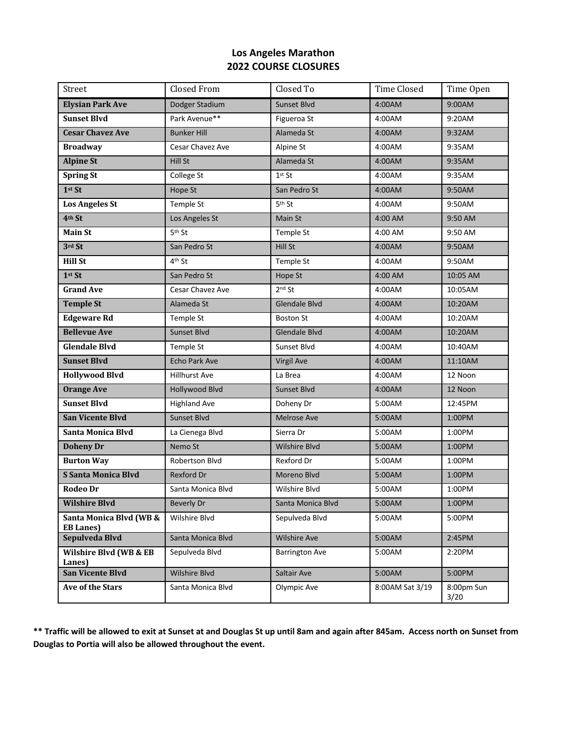## **Los Angeles Marathon 2022 COURSE CLOSURES**

| Street                                      | <b>Closed From</b>   | Closed To             | <b>Time Closed</b> | Time Open          |
|---------------------------------------------|----------------------|-----------------------|--------------------|--------------------|
| <b>Elysian Park Ave</b>                     | Dodger Stadium       | <b>Sunset Blvd</b>    | 4:00AM             | 9:00AM             |
| <b>Sunset Blvd</b>                          | Park Avenue**        | Figueroa St           | 4:00AM             | 9:20AM             |
| <b>Cesar Chavez Ave</b>                     | <b>Bunker Hill</b>   | Alameda St            | 4:00AM             | 9:32AM             |
| <b>Broadway</b>                             | Cesar Chavez Ave     | Alpine St             | 4:00AM             | 9:35AM             |
| <b>Alpine St</b>                            | Hill St              | Alameda St            | 4:00AM             | 9:35AM             |
| <b>Spring St</b>                            | College St           | $1st$ St              | 4:00AM             | 9:35AM             |
| $1st$ St                                    | Hope St              | San Pedro St          | 4:00AM             | 9:50AM             |
| <b>Los Angeles St</b>                       | Temple St            | 5 <sup>th</sup> St    | 4:00AM             | 9:50AM             |
| 4th St                                      | Los Angeles St       | Main St               | 4:00 AM            | 9:50 AM            |
| <b>Main St</b>                              | 5 <sup>th</sup> St   | Temple St             | 4:00 AM            | 9:50 AM            |
| 3rd St                                      | San Pedro St         | Hill St               | 4:00AM             | 9:50AM             |
| <b>Hill St</b>                              | 4 <sup>th</sup> St   | Temple St             | 4:00AM             | 9:50AM             |
| 1st St                                      | San Pedro St         | Hope St               | 4:00 AM            | 10:05 AM           |
| <b>Grand Ave</b>                            | Cesar Chavez Ave     | $2nd$ St              | 4:00AM             | 10:05AM            |
| <b>Temple St</b>                            | Alameda St           | <b>Glendale Blvd</b>  | 4:00AM             | 10:20AM            |
| <b>Edgeware Rd</b>                          | Temple St            | <b>Boston St</b>      | 4:00AM             | 10:20AM            |
| <b>Bellevue Ave</b>                         | Sunset Blvd          | Glendale Blvd         | 4:00AM             | 10:20AM            |
| <b>Glendale Blvd</b>                        | Temple St            | Sunset Blvd           | 4:00AM             | 10:40AM            |
| <b>Sunset Blvd</b>                          | Echo Park Ave        | <b>Virgil Ave</b>     | 4:00AM             | 11:10AM            |
| <b>Hollywood Blvd</b>                       | <b>Hillhurst Ave</b> | La Brea               | 4:00AM             | 12 Noon            |
| <b>Orange Ave</b>                           | Hollywood Blvd       | Sunset Blvd           | 4:00AM             | 12 Noon            |
| <b>Sunset Blvd</b>                          | <b>Highland Ave</b>  | Doheny Dr             | 5:00AM             | 12:45PM            |
| <b>San Vicente Blvd</b>                     | Sunset Blvd          | <b>Melrose Ave</b>    | 5:00AM             | 1:00PM             |
| Santa Monica Blvd                           | La Cienega Blvd      | Sierra Dr             | 5:00AM             | 1:00PM             |
| <b>Doheny Dr</b>                            | Nemo St              | Wilshire Blvd         | 5:00AM             | 1:00PM             |
| <b>Burton Way</b>                           | Robertson Blvd       | Rexford Dr            | 5:00AM             | 1:00PM             |
| <b>S Santa Monica Blvd</b>                  | Rexford Dr           | Moreno Blvd           | 5:00AM             | 1:00PM             |
| <b>Rodeo Dr</b>                             | Santa Monica Blvd    | Wilshire Blvd         | 5:00AM             | 1:00PM             |
| <b>Wilshire Blvd</b>                        | <b>Beverly Dr</b>    | Santa Monica Blvd     | 5:00AM             | 1:00PM             |
| Santa Monica Blvd (WB &<br><b>EB Lanes)</b> | Wilshire Blvd        | Sepulveda Blvd        | 5:00AM             | 5:00PM             |
| Sepulveda Blvd                              | Santa Monica Blvd    | <b>Wilshire Ave</b>   | 5:00AM             | 2:45PM             |
| Wilshire Blvd (WB & EB<br>Lanes)            | Sepulveda Blvd       | <b>Barrington Ave</b> | 5:00AM             | 2:20PM             |
| <b>San Vicente Blvd</b>                     | <b>Wilshire Blvd</b> | Saltair Ave           | 5:00AM             | 5:00PM             |
| Ave of the Stars                            | Santa Monica Blvd    | Olympic Ave           | 8:00AM Sat 3/19    | 8:00pm Sun<br>3/20 |

**\*\* Traffic will be allowed to exit at Sunset at and Douglas St up until 8am and again after 845am. Access north on Sunset from Douglas to Portia will also be allowed throughout the event.**